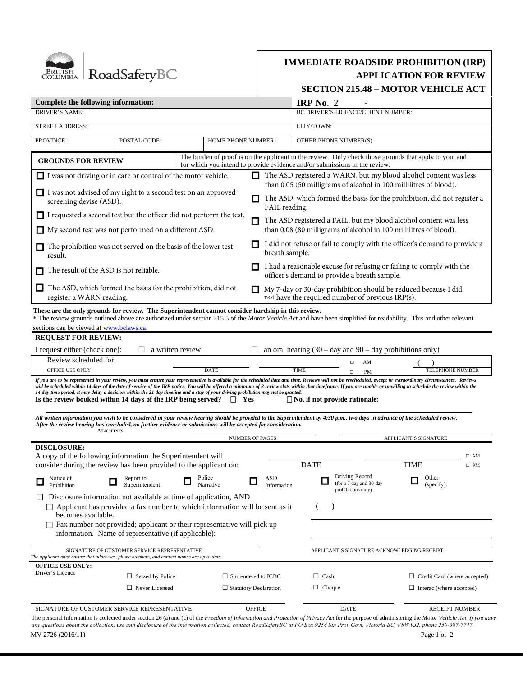

# **IMMEDIATE ROADSIDE PROHIBITION (IRP) APPLICATION FOR REVIEW SECTION 215.48 – MOTOR VEHICLE ACT**

| Complete the following information:                                                                                                                                                                                                                                                                                                                                                                                                                                                                                                                                                                     |                                                                                                  |            |                     |                                                                                             | IRP No. $2$                                                                                                                                |                                                                                             |                                                                                                        |                           |  |
|---------------------------------------------------------------------------------------------------------------------------------------------------------------------------------------------------------------------------------------------------------------------------------------------------------------------------------------------------------------------------------------------------------------------------------------------------------------------------------------------------------------------------------------------------------------------------------------------------------|--------------------------------------------------------------------------------------------------|------------|---------------------|---------------------------------------------------------------------------------------------|--------------------------------------------------------------------------------------------------------------------------------------------|---------------------------------------------------------------------------------------------|--------------------------------------------------------------------------------------------------------|---------------------------|--|
| <b>DRIVER'S NAME:</b>                                                                                                                                                                                                                                                                                                                                                                                                                                                                                                                                                                                   |                                                                                                  |            |                     |                                                                                             | BC DRIVER'S LICENCE/CLIENT NUMBER:                                                                                                         |                                                                                             |                                                                                                        |                           |  |
| <b>STREET ADDRESS:</b>                                                                                                                                                                                                                                                                                                                                                                                                                                                                                                                                                                                  |                                                                                                  | CITY/TOWN: |                     |                                                                                             |                                                                                                                                            |                                                                                             |                                                                                                        |                           |  |
| PROVINCE:<br>POSTAL CODE:                                                                                                                                                                                                                                                                                                                                                                                                                                                                                                                                                                               |                                                                                                  |            | HOME PHONE NUMBER:  | OTHER PHONE NUMBER(S):                                                                      |                                                                                                                                            |                                                                                             |                                                                                                        |                           |  |
| <b>GROUNDS FOR REVIEW</b>                                                                                                                                                                                                                                                                                                                                                                                                                                                                                                                                                                               |                                                                                                  |            |                     |                                                                                             |                                                                                                                                            | for which you intend to provide evidence and/or submissions in the review.                  | The burden of proof is on the applicant in the review. Only check those grounds that apply to you, and |                           |  |
| I was not driving or in care or control of the motor vehicle.                                                                                                                                                                                                                                                                                                                                                                                                                                                                                                                                           |                                                                                                  |            |                     |                                                                                             | The ASD registered a WARN, but my blood alcohol content was less<br>than 0.05 (50 milligrams of alcohol in 100 millilitres of blood).      |                                                                                             |                                                                                                        |                           |  |
| I was not advised of my right to a second test on an approved<br>screening devise (ASD).                                                                                                                                                                                                                                                                                                                                                                                                                                                                                                                |                                                                                                  |            |                     |                                                                                             | The ASD, which formed the basis for the prohibition, did not register a<br>FAIL reading.                                                   |                                                                                             |                                                                                                        |                           |  |
| I requested a second test but the officer did not perform the test.                                                                                                                                                                                                                                                                                                                                                                                                                                                                                                                                     |                                                                                                  |            |                     |                                                                                             |                                                                                                                                            |                                                                                             |                                                                                                        |                           |  |
| My second test was not performed on a different ASD.                                                                                                                                                                                                                                                                                                                                                                                                                                                                                                                                                    |                                                                                                  |            |                     |                                                                                             | The ASD registered a FAIL, but my blood alcohol content was less<br>П<br>than 0.08 (80 milligrams of alcohol in 100 millilitres of blood). |                                                                                             |                                                                                                        |                           |  |
| The prohibition was not served on the basis of the lower test<br>result.                                                                                                                                                                                                                                                                                                                                                                                                                                                                                                                                |                                                                                                  |            |                     | I did not refuse or fail to comply with the officer's demand to provide a<br>breath sample. |                                                                                                                                            |                                                                                             |                                                                                                        |                           |  |
| The result of the ASD is not reliable.                                                                                                                                                                                                                                                                                                                                                                                                                                                                                                                                                                  |                                                                                                  |            |                     | П                                                                                           | I had a reasonable excuse for refusing or failing to comply with the<br>officer's demand to provide a breath sample.                       |                                                                                             |                                                                                                        |                           |  |
| The ASD, which formed the basis for the prohibition, did not<br>register a WARN reading.                                                                                                                                                                                                                                                                                                                                                                                                                                                                                                                |                                                                                                  |            |                     | П                                                                                           | My 7-day or 30-day prohibition should be reduced because I did<br>not have the required number of previous IRP(s).                         |                                                                                             |                                                                                                        |                           |  |
| sections can be viewed at www.bclaws.ca.<br><b>REQUEST FOR REVIEW:</b><br>I request either (check one):<br>Review scheduled for:<br>OFFICE USE ONLY<br>If you are to be represented in your review, you must ensure your representative is available for the scheduled date and time. Reviews will not be rescheduled, except in extraordinary circumstances. Reviews                                                                                                                                                                                                                                   | $\Box$ a written review                                                                          |            | <b>DATE</b>         | ⊔                                                                                           | <b>TIME</b>                                                                                                                                | an oral hearing $(30 - day)$ and $90 - day$ prohibitions only)<br>AM<br>п<br><b>PM</b><br>□ | TELEPHONE NUMBER                                                                                       |                           |  |
| will be scheduled within 14 days of the date of service of the IRP notice. You will be offered a minimum of 3 review slots within that timeframe. If you are unable or unwilling to schedule the review within the<br>14 day time period, it may delay a decision within the 21 day timeline and a stay of your driving prohibition may not be granted.<br>Is the review booked within 14 days of the IRP being served?<br>All written information you wish to be considered in your review hearing should be provided to the Superintendent by 4:30 p.m., two days in advance of the scheduled review. |                                                                                                  |            |                     | Yes                                                                                         |                                                                                                                                            | $\Box$ No, if not provide rationale:                                                        |                                                                                                        |                           |  |
| After the review hearing has concluded, no further evidence or submissions will be accepted for consideration.<br>Attachments                                                                                                                                                                                                                                                                                                                                                                                                                                                                           |                                                                                                  |            |                     |                                                                                             |                                                                                                                                            |                                                                                             |                                                                                                        |                           |  |
|                                                                                                                                                                                                                                                                                                                                                                                                                                                                                                                                                                                                         |                                                                                                  |            |                     | <b>NUMBER OF PAGES</b>                                                                      |                                                                                                                                            |                                                                                             |                                                                                                        |                           |  |
| <b>DISCLOSURE:</b><br>A copy of the following information the Superintendent will                                                                                                                                                                                                                                                                                                                                                                                                                                                                                                                       |                                                                                                  |            |                     |                                                                                             |                                                                                                                                            |                                                                                             | APPLICANT'S SIGNATURE                                                                                  |                           |  |
|                                                                                                                                                                                                                                                                                                                                                                                                                                                                                                                                                                                                         |                                                                                                  |            |                     |                                                                                             | <b>DATE</b>                                                                                                                                |                                                                                             | <b>TIME</b>                                                                                            | $\square$ AM<br>$\Box$ PM |  |
| Notice of<br>Prohibition                                                                                                                                                                                                                                                                                                                                                                                                                                                                                                                                                                                | consider during the review has been provided to the applicant on:<br>Report to<br>Superintendent |            | Police<br>Narrative | ASD<br>Information                                                                          |                                                                                                                                            | Driving Record<br>(for a 7-day and 30-day                                                   | Other<br>ш<br>(specify):                                                                               |                           |  |
| Disclosure information not available at time of application, AND<br>$\Box$ Applicant has provided a fax number to which information will be sent as it<br>becomes available.                                                                                                                                                                                                                                                                                                                                                                                                                            |                                                                                                  |            |                     |                                                                                             |                                                                                                                                            | prohibitions only)                                                                          |                                                                                                        |                           |  |
| $\Box$ Fax number not provided; applicant or their representative will pick up                                                                                                                                                                                                                                                                                                                                                                                                                                                                                                                          | information. Name of representative (if applicable):                                             |            |                     |                                                                                             |                                                                                                                                            |                                                                                             |                                                                                                        |                           |  |
| The applicant must ensure that addresses, phone numbers, and contact names are up to date.                                                                                                                                                                                                                                                                                                                                                                                                                                                                                                              | SIGNATURE OF CUSTOMER SERVICE REPRESENTATIVE                                                     |            |                     |                                                                                             |                                                                                                                                            | APPLICANT'S SIGNATURE ACKNOWLEDGING RECEIPT                                                 |                                                                                                        |                           |  |
| <b>OFFICE USE ONLY:</b><br>Driver's Licence                                                                                                                                                                                                                                                                                                                                                                                                                                                                                                                                                             |                                                                                                  |            |                     |                                                                                             |                                                                                                                                            |                                                                                             |                                                                                                        |                           |  |
|                                                                                                                                                                                                                                                                                                                                                                                                                                                                                                                                                                                                         | $\Box$ Seized by Police<br>$\Box$ Never Licensed                                                 |            |                     | $\Box$ Surrendered to ICBC<br>$\Box$ Statutory Declaration                                  | $\Box$ Cash<br>$\Box$ Cheque                                                                                                               |                                                                                             | $\Box$ Credit Card (where accepted)<br>$\Box$ Interac (where accepted)                                 |                           |  |
| SIGNATURE OF CUSTOMER SERVICE REPRESENTATIVE                                                                                                                                                                                                                                                                                                                                                                                                                                                                                                                                                            |                                                                                                  |            |                     | <b>OFFICE</b>                                                                               |                                                                                                                                            | <b>DATE</b>                                                                                 | <b>RECEIPT NUMBER</b>                                                                                  |                           |  |